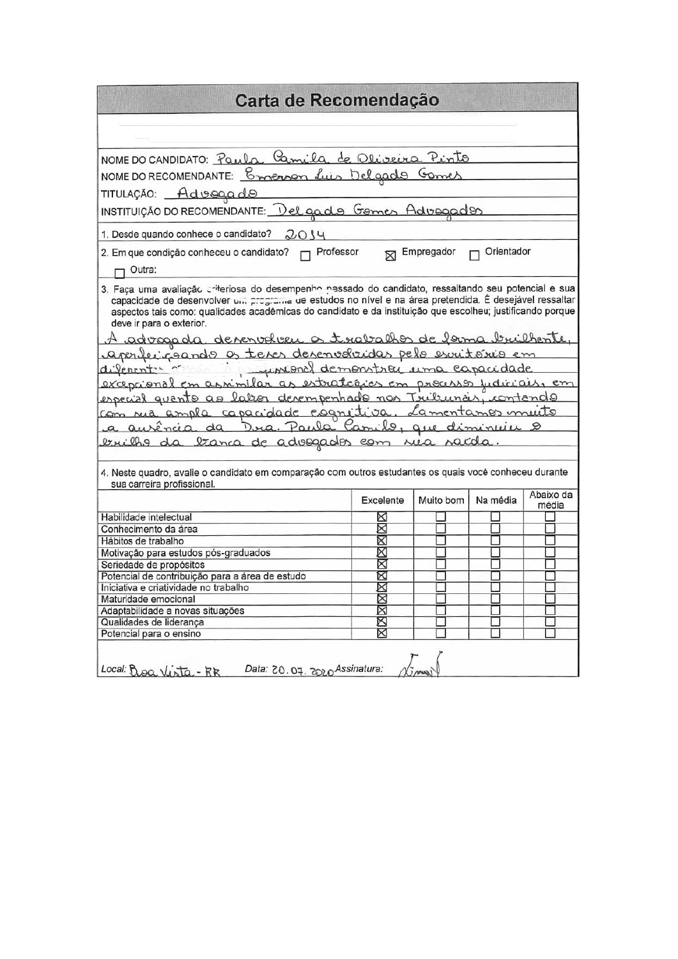|                                                                                                                                                                                                                                                                                                                                                                                       | Carta de Recomendação |                   |            |           |  |  |  |
|---------------------------------------------------------------------------------------------------------------------------------------------------------------------------------------------------------------------------------------------------------------------------------------------------------------------------------------------------------------------------------------|-----------------------|-------------------|------------|-----------|--|--|--|
|                                                                                                                                                                                                                                                                                                                                                                                       |                       |                   |            |           |  |  |  |
|                                                                                                                                                                                                                                                                                                                                                                                       |                       |                   |            |           |  |  |  |
| NOME DO CANDIDATO: Paula Camila de Oliveira Pinto                                                                                                                                                                                                                                                                                                                                     |                       |                   |            |           |  |  |  |
| NOME DO RECOMENDANTE: Comerson Luis Delgado Gomes                                                                                                                                                                                                                                                                                                                                     |                       |                   |            |           |  |  |  |
| TITULAÇÃO: Advegado                                                                                                                                                                                                                                                                                                                                                                   |                       |                   |            |           |  |  |  |
| INSTITUIÇÃO DO RECOMENDANTE: Del gado Gomes Advogados                                                                                                                                                                                                                                                                                                                                 |                       |                   |            |           |  |  |  |
| 1. Desde quando conhece o candidato?<br>2014                                                                                                                                                                                                                                                                                                                                          |                       |                   |            |           |  |  |  |
| 2. Em que condição conheceu o candidato? <sub>[7]</sub> Professor                                                                                                                                                                                                                                                                                                                     |                       | <b>Empregador</b> | Orientador |           |  |  |  |
| Outra:                                                                                                                                                                                                                                                                                                                                                                                |                       |                   |            |           |  |  |  |
| <u>A advagada devenvolveu a trabalhos de forma bruilhente,</u><br>aperfeciçõendo os teres desenvolvidas pelo escritório em                                                                                                                                                                                                                                                            |                       |                   |            |           |  |  |  |
| a aurência da Dua Paula Camilo, que diminuiu o                                                                                                                                                                                                                                                                                                                                        |                       |                   |            |           |  |  |  |
| diferent in assimilar as estrategies em processo judiciais, em<br>especial quanto ao labor desempenhado nos Trubunas, contando<br>com rua ampla capacidade esgritiva, Lamentames muito<br><u>eruilho da tranca de adosgados com rua rada.</u><br>4. Neste quadro, avalie o candidato em comparação com outros estudantes os quais você conheceu durante<br>sua carreira profissional. |                       |                   |            |           |  |  |  |
|                                                                                                                                                                                                                                                                                                                                                                                       | Excelente             | Muito bom         | Na média   | média     |  |  |  |
|                                                                                                                                                                                                                                                                                                                                                                                       | ⋈                     |                   |            | Abaixo da |  |  |  |
|                                                                                                                                                                                                                                                                                                                                                                                       | X                     |                   |            |           |  |  |  |
|                                                                                                                                                                                                                                                                                                                                                                                       | X                     |                   |            |           |  |  |  |
|                                                                                                                                                                                                                                                                                                                                                                                       | Χ                     |                   |            |           |  |  |  |
|                                                                                                                                                                                                                                                                                                                                                                                       | X                     |                   |            |           |  |  |  |
|                                                                                                                                                                                                                                                                                                                                                                                       | ⊠                     |                   |            |           |  |  |  |
|                                                                                                                                                                                                                                                                                                                                                                                       | X                     |                   |            |           |  |  |  |
|                                                                                                                                                                                                                                                                                                                                                                                       | ⊠                     |                   |            |           |  |  |  |
| Habilidade intelectual<br>Conhecimento da área<br>Hábitos de trabalho<br>Motivação para estudos pós-graduados<br>Seriedade de propósitos<br>Potencial de contribuição para a área de estudo<br>Iniciativa e criatividade no trabalho<br>Maturidade emocional<br>Adaptabilidade a novas situações<br>Qualidades de liderança                                                           | ⊠<br>XX               |                   |            |           |  |  |  |